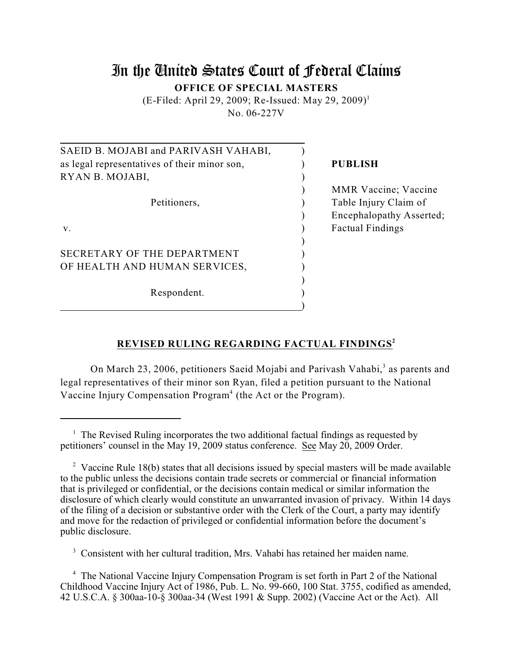# In the United States Court of Federal Claims **OFFICE OF SPECIAL MASTERS**

(E-Filed: April 29, 2009; Re-Issued: May 29, 2009) 1 No. 06-227V

| SAEID B. MOJABI and PARIVASH VAHABI,         |                             |
|----------------------------------------------|-----------------------------|
| as legal representatives of their minor son, | <b>PUBLISH</b>              |
| RYAN B. MOJABI,                              |                             |
|                                              | <b>MMR</b> Vaccine; Vaccine |
| Petitioners,                                 | Table Injury Claim of       |
|                                              | Encephalopathy Asserted;    |
| $V_{\cdot}$                                  | <b>Factual Findings</b>     |
|                                              |                             |
| SECRETARY OF THE DEPARTMENT                  |                             |
| OF HEALTH AND HUMAN SERVICES,                |                             |
|                                              |                             |
| Respondent.                                  |                             |
|                                              |                             |

## **REVISED RULING REGARDING FACTUAL FINDINGS 2**

On March 23, 2006, petitioners Saeid Mojabi and Parivash Vahabi,<sup>3</sup> as parents and legal representatives of their minor son Ryan, filed a petition pursuant to the National Vaccine Injury Compensation Program<sup>4</sup> (the Act or the Program).

<sup>3</sup> Consistent with her cultural tradition, Mrs. Vahabi has retained her maiden name.

<sup>4</sup> The National Vaccine Injury Compensation Program is set forth in Part 2 of the National Childhood Vaccine Injury Act of 1986, Pub. L. No. 99-660, 100 Stat. 3755, codified as amended, 42 U.S.C.A. § 300aa-10-§ 300aa-34 (West 1991 & Supp. 2002) (Vaccine Act or the Act). All

 $\frac{1}{1}$  The Revised Ruling incorporates the two additional factual findings as requested by petitioners' counsel in the May 19, 2009 status conference. See May 20, 2009 Order.

<sup>&</sup>lt;sup>2</sup> Vaccine Rule 18(b) states that all decisions issued by special masters will be made available to the public unless the decisions contain trade secrets or commercial or financial information that is privileged or confidential, or the decisions contain medical or similar information the disclosure of which clearly would constitute an unwarranted invasion of privacy. Within 14 days of the filing of a decision or substantive order with the Clerk of the Court, a party may identify and move for the redaction of privileged or confidential information before the document's public disclosure.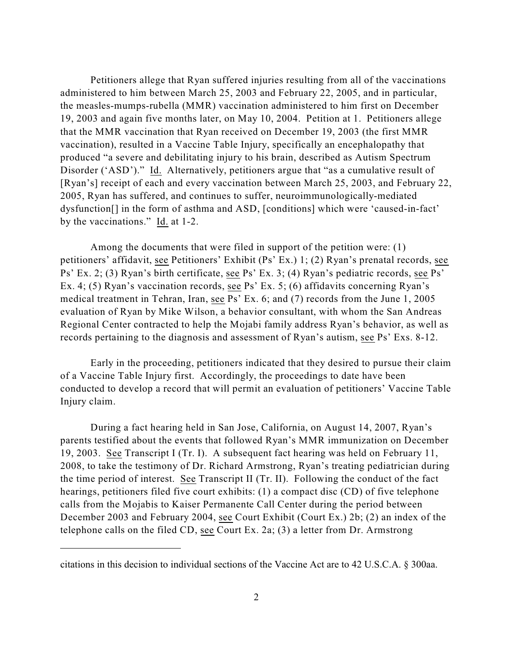Petitioners allege that Ryan suffered injuries resulting from all of the vaccinations administered to him between March 25, 2003 and February 22, 2005, and in particular, the measles-mumps-rubella (MMR) vaccination administered to him first on December 19, 2003 and again five months later, on May 10, 2004. Petition at 1. Petitioners allege that the MMR vaccination that Ryan received on December 19, 2003 (the first MMR vaccination), resulted in a Vaccine Table Injury, specifically an encephalopathy that produced "a severe and debilitating injury to his brain, described as Autism Spectrum Disorder ('ASD')." Id. Alternatively, petitioners argue that "as a cumulative result of [Ryan's] receipt of each and every vaccination between March 25, 2003, and February 22, 2005, Ryan has suffered, and continues to suffer, neuroimmunologically-mediated dysfunction[] in the form of asthma and ASD, [conditions] which were 'caused-in-fact' by the vaccinations." Id. at 1-2.

Among the documents that were filed in support of the petition were: (1) petitioners' affidavit, see Petitioners' Exhibit (Ps' Ex.) 1; (2) Ryan's prenatal records, see Ps' Ex. 2; (3) Ryan's birth certificate, see Ps' Ex. 3; (4) Ryan's pediatric records, see Ps' Ex. 4; (5) Ryan's vaccination records, see Ps' Ex. 5; (6) affidavits concerning Ryan's medical treatment in Tehran, Iran, see Ps' Ex. 6; and (7) records from the June 1, 2005 evaluation of Ryan by Mike Wilson, a behavior consultant, with whom the San Andreas Regional Center contracted to help the Mojabi family address Ryan's behavior, as well as records pertaining to the diagnosis and assessment of Ryan's autism, see Ps' Exs. 8-12.

Early in the proceeding, petitioners indicated that they desired to pursue their claim of a Vaccine Table Injury first. Accordingly, the proceedings to date have been conducted to develop a record that will permit an evaluation of petitioners' Vaccine Table Injury claim.

During a fact hearing held in San Jose, California, on August 14, 2007, Ryan's parents testified about the events that followed Ryan's MMR immunization on December 19, 2003. See Transcript I (Tr. I). A subsequent fact hearing was held on February 11, 2008, to take the testimony of Dr. Richard Armstrong, Ryan's treating pediatrician during the time period of interest. See Transcript II (Tr. II). Following the conduct of the fact hearings, petitioners filed five court exhibits: (1) a compact disc (CD) of five telephone calls from the Mojabis to Kaiser Permanente Call Center during the period between December 2003 and February 2004, see Court Exhibit (Court Ex.) 2b; (2) an index of the telephone calls on the filed CD, see Court Ex. 2a; (3) a letter from Dr. Armstrong

citations in this decision to individual sections of the Vaccine Act are to 42 U.S.C.A. § 300aa.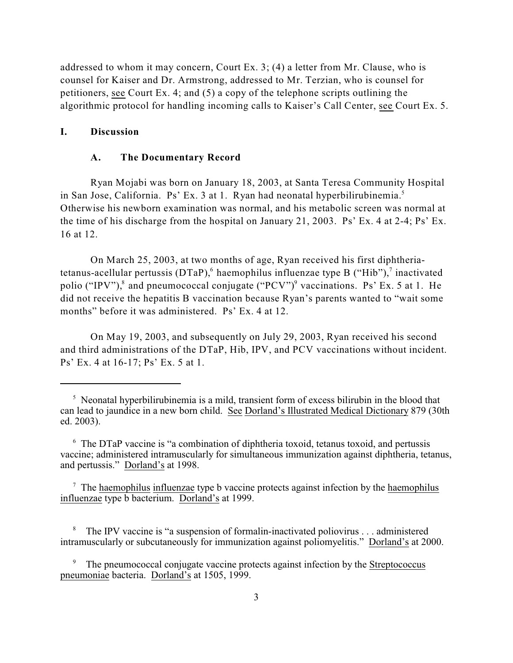addressed to whom it may concern, Court Ex. 3; (4) a letter from Mr. Clause, who is counsel for Kaiser and Dr. Armstrong, addressed to Mr. Terzian, who is counsel for petitioners, see Court Ex. 4; and (5) a copy of the telephone scripts outlining the algorithmic protocol for handling incoming calls to Kaiser's Call Center, see Court Ex. 5.

#### **I. Discussion**

#### **A. The Documentary Record**

Ryan Mojabi was born on January 18, 2003, at Santa Teresa Community Hospital in San Jose, California. Ps' Ex. 3 at 1. Ryan had neonatal hyperbilirubinemia. 5 Otherwise his newborn examination was normal, and his metabolic screen was normal at the time of his discharge from the hospital on January 21, 2003. Ps' Ex. 4 at 2-4; Ps' Ex. 16 at 12.

On March 25, 2003, at two months of age, Ryan received his first diphtheriatetanus-acellular pertussis (DTaP), haemophilus influenzae type B ("Hib"), inactivated polio ("IPV"),<sup>8</sup> and pneumococcal conjugate ("PCV")<sup>9</sup> vaccinations. Ps' Ex. 5 at 1. He did not receive the hepatitis B vaccination because Ryan's parents wanted to "wait some months" before it was administered. Ps' Ex. 4 at 12.

On May 19, 2003, and subsequently on July 29, 2003, Ryan received his second and third administrations of the DTaP, Hib, IPV, and PCV vaccinations without incident. Ps' Ex. 4 at 16-17; Ps' Ex. 5 at 1.

 $\frac{1}{2}$  Neonatal hyperbilirubinemia is a mild, transient form of excess bilirubin in the blood that can lead to jaundice in a new born child. See Dorland's Illustrated Medical Dictionary 879 (30th ed. 2003).

 $6$  The DTaP vaccine is "a combination of diphtheria toxoid, tetanus toxoid, and pertussis vaccine; administered intramuscularly for simultaneous immunization against diphtheria, tetanus, and pertussis." Dorland's at 1998.

 $\frac{7}{7}$  The haemophilus influenzae type b vaccine protects against infection by the haemophilus influenzae type b bacterium. Dorland's at 1999.

The IPV vaccine is "a suspension of formalin-inactivated poliovirus . . . administered intramuscularly or subcutaneously for immunization against poliomyelitis." Dorland's at 2000.

The pneumococcal conjugate vaccine protects against infection by the Streptococcus pneumoniae bacteria. Dorland's at 1505, 1999.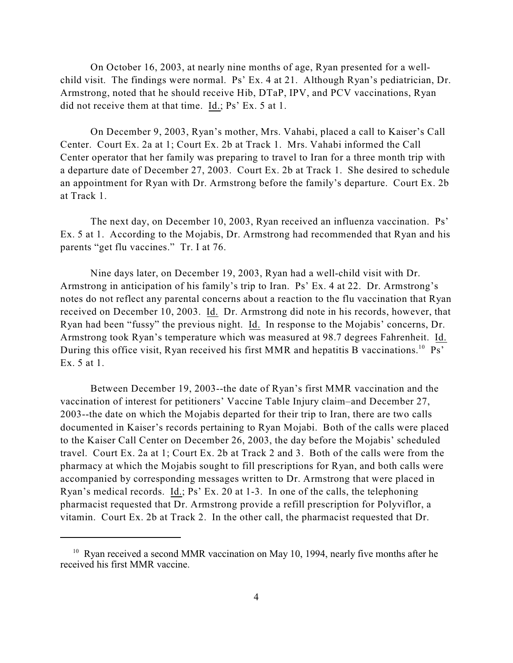On October 16, 2003, at nearly nine months of age, Ryan presented for a wellchild visit. The findings were normal. Ps' Ex. 4 at 21. Although Ryan's pediatrician, Dr. Armstrong, noted that he should receive Hib, DTaP, IPV, and PCV vaccinations, Ryan did not receive them at that time. Id.; Ps' Ex. 5 at 1.

On December 9, 2003, Ryan's mother, Mrs. Vahabi, placed a call to Kaiser's Call Center. Court Ex. 2a at 1; Court Ex. 2b at Track 1. Mrs. Vahabi informed the Call Center operator that her family was preparing to travel to Iran for a three month trip with a departure date of December 27, 2003. Court Ex. 2b at Track 1. She desired to schedule an appointment for Ryan with Dr. Armstrong before the family's departure. Court Ex. 2b at Track 1.

The next day, on December 10, 2003, Ryan received an influenza vaccination. Ps' Ex. 5 at 1. According to the Mojabis, Dr. Armstrong had recommended that Ryan and his parents "get flu vaccines." Tr. I at 76.

Nine days later, on December 19, 2003, Ryan had a well-child visit with Dr. Armstrong in anticipation of his family's trip to Iran. Ps' Ex. 4 at 22. Dr. Armstrong's notes do not reflect any parental concerns about a reaction to the flu vaccination that Ryan received on December 10, 2003. Id. Dr. Armstrong did note in his records, however, that Ryan had been "fussy" the previous night. Id. In response to the Mojabis' concerns, Dr. Armstrong took Ryan's temperature which was measured at 98.7 degrees Fahrenheit. Id. During this office visit, Ryan received his first MMR and hepatitis B vaccinations.<sup>10</sup> Ps' Ex. 5 at 1.

Between December 19, 2003--the date of Ryan's first MMR vaccination and the vaccination of interest for petitioners' Vaccine Table Injury claim–and December 27, 2003--the date on which the Mojabis departed for their trip to Iran, there are two calls documented in Kaiser's records pertaining to Ryan Mojabi. Both of the calls were placed to the Kaiser Call Center on December 26, 2003, the day before the Mojabis' scheduled travel. Court Ex. 2a at 1; Court Ex. 2b at Track 2 and 3. Both of the calls were from the pharmacy at which the Mojabis sought to fill prescriptions for Ryan, and both calls were accompanied by corresponding messages written to Dr. Armstrong that were placed in Ryan's medical records. Id.; Ps' Ex. 20 at 1-3. In one of the calls, the telephoning pharmacist requested that Dr. Armstrong provide a refill prescription for Polyviflor, a vitamin. Court Ex. 2b at Track 2. In the other call, the pharmacist requested that Dr.

 $10$  Ryan received a second MMR vaccination on May 10, 1994, nearly five months after he received his first MMR vaccine.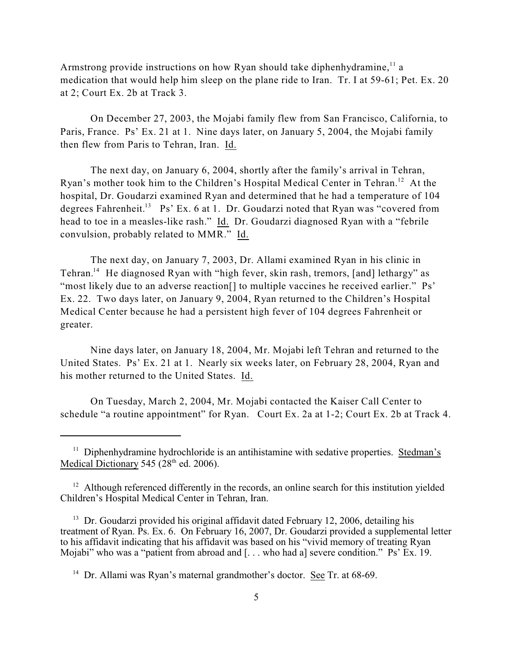Armstrong provide instructions on how Ryan should take diphenhydramine, $^{11}$  a medication that would help him sleep on the plane ride to Iran. Tr. I at 59-61; Pet. Ex. 20 at 2; Court Ex. 2b at Track 3.

On December 27, 2003, the Mojabi family flew from San Francisco, California, to Paris, France. Ps' Ex. 21 at 1. Nine days later, on January 5, 2004, the Mojabi family then flew from Paris to Tehran, Iran. Id.

The next day, on January 6, 2004, shortly after the family's arrival in Tehran, Ryan's mother took him to the Children's Hospital Medical Center in Tehran.<sup>12</sup> At the hospital, Dr. Goudarzi examined Ryan and determined that he had a temperature of 104 degrees Fahrenheit.<sup>13</sup> Ps' Ex. 6 at 1. Dr. Goudarzi noted that Ryan was "covered from head to toe in a measles-like rash." Id. Dr. Goudarzi diagnosed Ryan with a "febrile convulsion, probably related to MMR." Id.

The next day, on January 7, 2003, Dr. Allami examined Ryan in his clinic in Tehran.<sup>14</sup> He diagnosed Ryan with "high fever, skin rash, tremors, [and] lethargy" as "most likely due to an adverse reaction<sup>[]</sup> to multiple vaccines he received earlier." Ps' Ex. 22. Two days later, on January 9, 2004, Ryan returned to the Children's Hospital Medical Center because he had a persistent high fever of 104 degrees Fahrenheit or greater.

Nine days later, on January 18, 2004, Mr. Mojabi left Tehran and returned to the United States. Ps' Ex. 21 at 1. Nearly six weeks later, on February 28, 2004, Ryan and his mother returned to the United States. Id.

On Tuesday, March 2, 2004, Mr. Mojabi contacted the Kaiser Call Center to schedule "a routine appointment" for Ryan. Court Ex. 2a at 1-2; Court Ex. 2b at Track 4.

 $11$  Diphenhydramine hydrochloride is an antihistamine with sedative properties. Stedman's Medical Dictionary 545 ( $28<sup>th</sup>$  ed. 2006).

 $12$  Although referenced differently in the records, an online search for this institution yielded Children's Hospital Medical Center in Tehran, Iran.

 $13$  Dr. Goudarzi provided his original affidavit dated February 12, 2006, detailing his treatment of Ryan. Ps. Ex. 6. On February 16, 2007, Dr. Goudarzi provided a supplemental letter to his affidavit indicating that his affidavit was based on his "vivid memory of treating Ryan Mojabi" who was a "patient from abroad and [... who had a] severe condition." Ps' Ex. 19.

<sup>&</sup>lt;sup>14</sup> Dr. Allami was Ryan's maternal grandmother's doctor. See Tr. at  $68-69$ .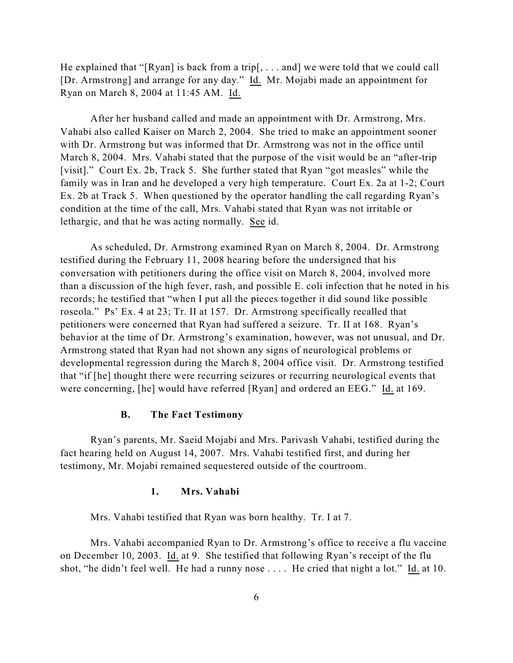He explained that "[Ryan] is back from a trip[, . . . and] we were told that we could call [Dr. Armstrong] and arrange for any day." Id. Mr. Mojabi made an appointment for Ryan on March 8, 2004 at 11:45 AM. Id.

After her husband called and made an appointment with Dr. Armstrong, Mrs. Vahabi also called Kaiser on March 2, 2004. She tried to make an appointment sooner with Dr. Armstrong but was informed that Dr. Armstrong was not in the office until March 8, 2004. Mrs. Vahabi stated that the purpose of the visit would be an "after-trip [visit]." Court Ex. 2b, Track 5. She further stated that Ryan "got measles" while the family was in Iran and he developed a very high temperature. Court Ex. 2a at 1-2; Court Ex. 2b at Track 5. When questioned by the operator handling the call regarding Ryan's condition at the time of the call, Mrs. Vahabi stated that Ryan was not irritable or lethargic, and that he was acting normally. See id.

As scheduled, Dr. Armstrong examined Ryan on March 8, 2004. Dr. Armstrong testified during the February 11, 2008 hearing before the undersigned that his conversation with petitioners during the office visit on March 8, 2004, involved more than a discussion of the high fever, rash, and possible E. coli infection that he noted in his records; he testified that "when I put all the pieces together it did sound like possible roseola." Ps' Ex. 4 at 23; Tr. II at 157. Dr. Armstrong specifically recalled that petitioners were concerned that Ryan had suffered a seizure. Tr. II at 168. Ryan's behavior at the time of Dr. Armstrong's examination, however, was not unusual, and Dr. Armstrong stated that Ryan had not shown any signs of neurological problems or developmental regression during the March 8, 2004 office visit. Dr. Armstrong testified that "if [he] thought there were recurring seizures or recurring neurological events that were concerning, [he] would have referred [Ryan] and ordered an EEG." Id. at 169.

## **B. The Fact Testimony**

Ryan's parents, Mr. Saeid Mojabi and Mrs. Parivash Vahabi, testified during the fact hearing held on August 14, 2007. Mrs. Vahabi testified first, and during her testimony, Mr. Mojabi remained sequestered outside of the courtroom.

#### **1. Mrs. Vahabi**

Mrs. Vahabi testified that Ryan was born healthy. Tr. I at 7.

Mrs. Vahabi accompanied Ryan to Dr. Armstrong's office to receive a flu vaccine on December 10, 2003. Id. at 9. She testified that following Ryan's receipt of the flu shot, "he didn't feel well. He had a runny nose . . . . He cried that night a lot." Id. at 10.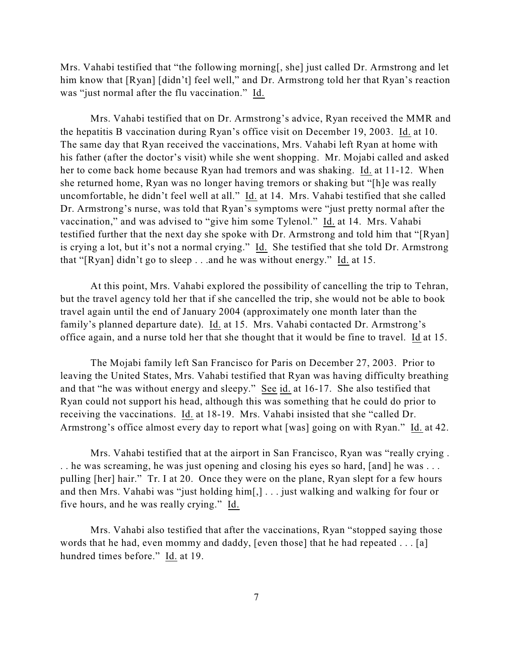Mrs. Vahabi testified that "the following morning[, she] just called Dr. Armstrong and let him know that [Ryan] [didn't] feel well," and Dr. Armstrong told her that Ryan's reaction was "just normal after the flu vaccination." Id.

Mrs. Vahabi testified that on Dr. Armstrong's advice, Ryan received the MMR and the hepatitis B vaccination during Ryan's office visit on December 19, 2003. Id. at 10. The same day that Ryan received the vaccinations, Mrs. Vahabi left Ryan at home with his father (after the doctor's visit) while she went shopping. Mr. Mojabi called and asked her to come back home because Ryan had tremors and was shaking. Id. at 11-12. When she returned home, Ryan was no longer having tremors or shaking but "[h]e was really uncomfortable, he didn't feel well at all." Id. at 14. Mrs. Vahabi testified that she called Dr. Armstrong's nurse, was told that Ryan's symptoms were "just pretty normal after the vaccination," and was advised to "give him some Tylenol." Id. at 14. Mrs. Vahabi testified further that the next day she spoke with Dr. Armstrong and told him that "[Ryan] is crying a lot, but it's not a normal crying." Id. She testified that she told Dr. Armstrong that "[Ryan] didn't go to sleep . . .and he was without energy." Id. at 15.

At this point, Mrs. Vahabi explored the possibility of cancelling the trip to Tehran, but the travel agency told her that if she cancelled the trip, she would not be able to book travel again until the end of January 2004 (approximately one month later than the family's planned departure date). Id. at 15. Mrs. Vahabi contacted Dr. Armstrong's office again, and a nurse told her that she thought that it would be fine to travel. Id at 15.

The Mojabi family left San Francisco for Paris on December 27, 2003. Prior to leaving the United States, Mrs. Vahabi testified that Ryan was having difficulty breathing and that "he was without energy and sleepy." See id. at 16-17. She also testified that Ryan could not support his head, although this was something that he could do prior to receiving the vaccinations. Id. at 18-19. Mrs. Vahabi insisted that she "called Dr. Armstrong's office almost every day to report what [was] going on with Ryan." Id. at 42.

Mrs. Vahabi testified that at the airport in San Francisco, Ryan was "really crying . . . he was screaming, he was just opening and closing his eyes so hard, [and] he was . . . pulling [her] hair." Tr. I at 20. Once they were on the plane, Ryan slept for a few hours and then Mrs. Vahabi was "just holding him[,] . . . just walking and walking for four or five hours, and he was really crying." Id.

Mrs. Vahabi also testified that after the vaccinations, Ryan "stopped saying those words that he had, even mommy and daddy, [even those] that he had repeated . . . [a] hundred times before." Id. at 19.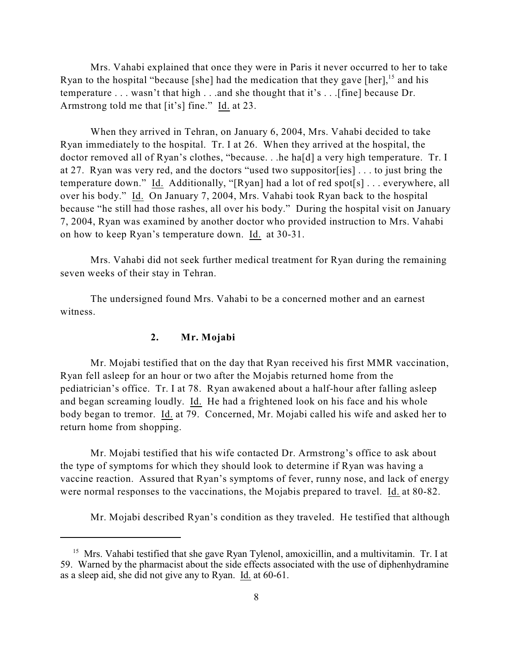Mrs. Vahabi explained that once they were in Paris it never occurred to her to take Ryan to the hospital "because [she] had the medication that they gave [her],  $15$  and his temperature . . . wasn't that high . . .and she thought that it's . . .[fine] because Dr. Armstrong told me that [it's] fine." Id. at 23.

When they arrived in Tehran, on January 6, 2004, Mrs. Vahabi decided to take Ryan immediately to the hospital. Tr. I at 26. When they arrived at the hospital, the doctor removed all of Ryan's clothes, "because. . .he ha[d] a very high temperature. Tr. I at 27. Ryan was very red, and the doctors "used two suppositor[ies] . . . to just bring the temperature down." Id. Additionally, "[Ryan] had a lot of red spot[s] . . . everywhere, all over his body." Id. On January 7, 2004, Mrs. Vahabi took Ryan back to the hospital because "he still had those rashes, all over his body." During the hospital visit on January 7, 2004, Ryan was examined by another doctor who provided instruction to Mrs. Vahabi on how to keep Ryan's temperature down. Id. at 30-31.

Mrs. Vahabi did not seek further medical treatment for Ryan during the remaining seven weeks of their stay in Tehran.

The undersigned found Mrs. Vahabi to be a concerned mother and an earnest witness.

## **2. Mr. Mojabi**

Mr. Mojabi testified that on the day that Ryan received his first MMR vaccination, Ryan fell asleep for an hour or two after the Mojabis returned home from the pediatrician's office. Tr. I at 78. Ryan awakened about a half-hour after falling asleep and began screaming loudly. Id. He had a frightened look on his face and his whole body began to tremor. Id. at 79. Concerned, Mr. Mojabi called his wife and asked her to return home from shopping.

Mr. Mojabi testified that his wife contacted Dr. Armstrong's office to ask about the type of symptoms for which they should look to determine if Ryan was having a vaccine reaction. Assured that Ryan's symptoms of fever, runny nose, and lack of energy were normal responses to the vaccinations, the Mojabis prepared to travel. Id. at 80-82.

Mr. Mojabi described Ryan's condition as they traveled. He testified that although

<sup>&</sup>lt;sup>15</sup> Mrs. Vahabi testified that she gave Ryan Tylenol, amoxicillin, and a multivitamin. Tr. I at 59. Warned by the pharmacist about the side effects associated with the use of diphenhydramine as a sleep aid, she did not give any to Ryan. Id. at 60-61.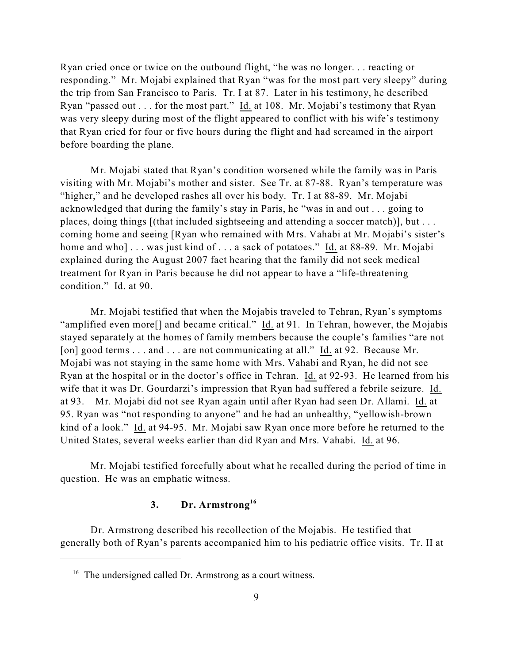Ryan cried once or twice on the outbound flight, "he was no longer. . . reacting or responding." Mr. Mojabi explained that Ryan "was for the most part very sleepy" during the trip from San Francisco to Paris. Tr. I at 87. Later in his testimony, he described Ryan "passed out . . . for the most part." Id. at 108. Mr. Mojabi's testimony that Ryan was very sleepy during most of the flight appeared to conflict with his wife's testimony that Ryan cried for four or five hours during the flight and had screamed in the airport before boarding the plane.

Mr. Mojabi stated that Ryan's condition worsened while the family was in Paris visiting with Mr. Mojabi's mother and sister. See Tr. at 87-88. Ryan's temperature was "higher," and he developed rashes all over his body. Tr. I at 88-89. Mr. Mojabi acknowledged that during the family's stay in Paris, he "was in and out . . . going to places, doing things [(that included sightseeing and attending a soccer match)], but . . . coming home and seeing [Ryan who remained with Mrs. Vahabi at Mr. Mojabi's sister's home and who]... was just kind of ... a sack of potatoes." Id. at 88-89. Mr. Mojabi explained during the August 2007 fact hearing that the family did not seek medical treatment for Ryan in Paris because he did not appear to have a "life-threatening condition." Id. at 90.

Mr. Mojabi testified that when the Mojabis traveled to Tehran, Ryan's symptoms "amplified even more[] and became critical." Id. at 91. In Tehran, however, the Mojabis stayed separately at the homes of family members because the couple's families "are not [on] good terms . . . and . . . are not communicating at all." Id. at 92. Because Mr. Mojabi was not staying in the same home with Mrs. Vahabi and Ryan, he did not see Ryan at the hospital or in the doctor's office in Tehran. Id. at 92-93. He learned from his wife that it was Dr. Gourdarzi's impression that Ryan had suffered a febrile seizure. Id. at 93. Mr. Mojabi did not see Ryan again until after Ryan had seen Dr. Allami. Id. at 95. Ryan was "not responding to anyone" and he had an unhealthy, "yellowish-brown kind of a look." Id. at 94-95. Mr. Mojabi saw Ryan once more before he returned to the United States, several weeks earlier than did Ryan and Mrs. Vahabi. Id. at 96.

Mr. Mojabi testified forcefully about what he recalled during the period of time in question. He was an emphatic witness.

## **3. Dr. Armstrong 16**

Dr. Armstrong described his recollection of the Mojabis. He testified that generally both of Ryan's parents accompanied him to his pediatric office visits. Tr. II at

 $16$  The undersigned called Dr. Armstrong as a court witness.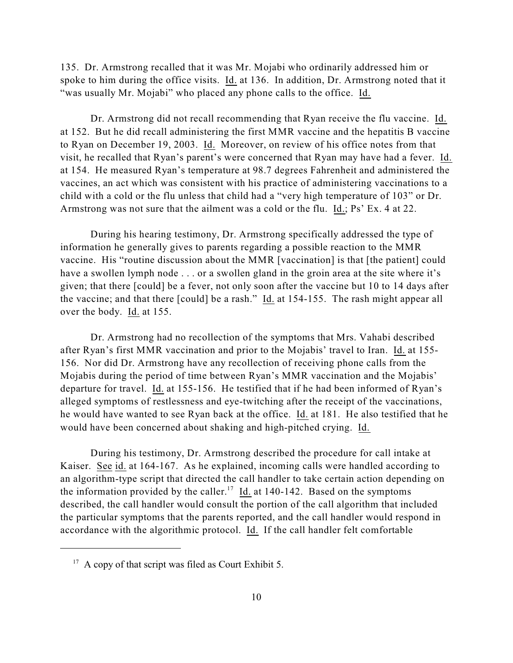135. Dr. Armstrong recalled that it was Mr. Mojabi who ordinarily addressed him or spoke to him during the office visits. Id. at 136. In addition, Dr. Armstrong noted that it "was usually Mr. Mojabi" who placed any phone calls to the office. Id.

Dr. Armstrong did not recall recommending that Ryan receive the flu vaccine. Id. at 152. But he did recall administering the first MMR vaccine and the hepatitis B vaccine to Ryan on December 19, 2003. Id. Moreover, on review of his office notes from that visit, he recalled that Ryan's parent's were concerned that Ryan may have had a fever. Id. at 154. He measured Ryan's temperature at 98.7 degrees Fahrenheit and administered the vaccines, an act which was consistent with his practice of administering vaccinations to a child with a cold or the flu unless that child had a "very high temperature of 103" or Dr. Armstrong was not sure that the ailment was a cold or the flu. Id.; Ps' Ex. 4 at 22.

During his hearing testimony, Dr. Armstrong specifically addressed the type of information he generally gives to parents regarding a possible reaction to the MMR vaccine. His "routine discussion about the MMR [vaccination] is that [the patient] could have a swollen lymph node . . . or a swollen gland in the groin area at the site where it's given; that there [could] be a fever, not only soon after the vaccine but 10 to 14 days after the vaccine; and that there [could] be a rash." Id. at 154-155. The rash might appear all over the body. Id. at 155.

Dr. Armstrong had no recollection of the symptoms that Mrs. Vahabi described after Ryan's first MMR vaccination and prior to the Mojabis' travel to Iran. Id. at 155- 156. Nor did Dr. Armstrong have any recollection of receiving phone calls from the Mojabis during the period of time between Ryan's MMR vaccination and the Mojabis' departure for travel. Id. at 155-156. He testified that if he had been informed of Ryan's alleged symptoms of restlessness and eye-twitching after the receipt of the vaccinations, he would have wanted to see Ryan back at the office. Id. at 181. He also testified that he would have been concerned about shaking and high-pitched crying. Id.

During his testimony, Dr. Armstrong described the procedure for call intake at Kaiser. See id. at 164-167. As he explained, incoming calls were handled according to an algorithm-type script that directed the call handler to take certain action depending on the information provided by the caller.<sup>17</sup> Id. at 140-142. Based on the symptoms described, the call handler would consult the portion of the call algorithm that included the particular symptoms that the parents reported, and the call handler would respond in accordance with the algorithmic protocol. Id. If the call handler felt comfortable

 $17$  A copy of that script was filed as Court Exhibit 5.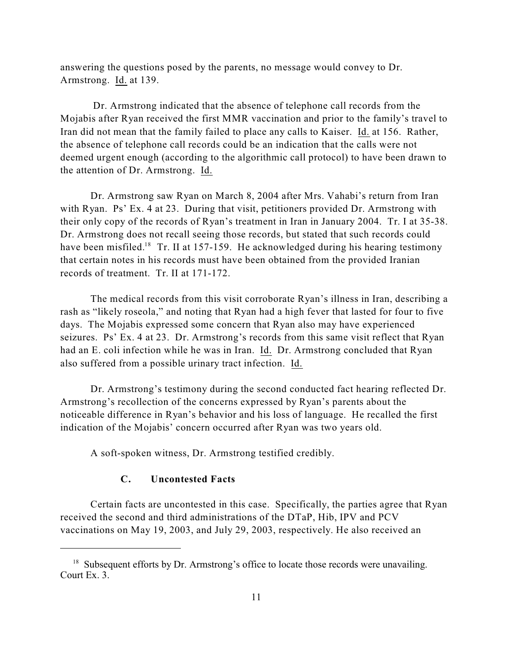answering the questions posed by the parents, no message would convey to Dr. Armstrong. Id. at 139.

Dr. Armstrong indicated that the absence of telephone call records from the Mojabis after Ryan received the first MMR vaccination and prior to the family's travel to Iran did not mean that the family failed to place any calls to Kaiser. Id. at 156. Rather, the absence of telephone call records could be an indication that the calls were not deemed urgent enough (according to the algorithmic call protocol) to have been drawn to the attention of Dr. Armstrong. Id.

Dr. Armstrong saw Ryan on March 8, 2004 after Mrs. Vahabi's return from Iran with Ryan. Ps' Ex. 4 at 23. During that visit, petitioners provided Dr. Armstrong with their only copy of the records of Ryan's treatment in Iran in January 2004. Tr. I at 35-38. Dr. Armstrong does not recall seeing those records, but stated that such records could have been misfiled.<sup>18</sup> Tr. II at 157-159. He acknowledged during his hearing testimony that certain notes in his records must have been obtained from the provided Iranian records of treatment. Tr. II at 171-172.

The medical records from this visit corroborate Ryan's illness in Iran, describing a rash as "likely roseola," and noting that Ryan had a high fever that lasted for four to five days. The Mojabis expressed some concern that Ryan also may have experienced seizures. Ps' Ex. 4 at 23. Dr. Armstrong's records from this same visit reflect that Ryan had an E. coli infection while he was in Iran. Id. Dr. Armstrong concluded that Ryan also suffered from a possible urinary tract infection. Id.

Dr. Armstrong's testimony during the second conducted fact hearing reflected Dr. Armstrong's recollection of the concerns expressed by Ryan's parents about the noticeable difference in Ryan's behavior and his loss of language. He recalled the first indication of the Mojabis' concern occurred after Ryan was two years old.

A soft-spoken witness, Dr. Armstrong testified credibly.

## **C. Uncontested Facts**

Certain facts are uncontested in this case. Specifically, the parties agree that Ryan received the second and third administrations of the DTaP, Hib, IPV and PCV vaccinations on May 19, 2003, and July 29, 2003, respectively. He also received an

<sup>&</sup>lt;sup>18</sup> Subsequent efforts by Dr. Armstrong's office to locate those records were unavailing. Court Ex. 3.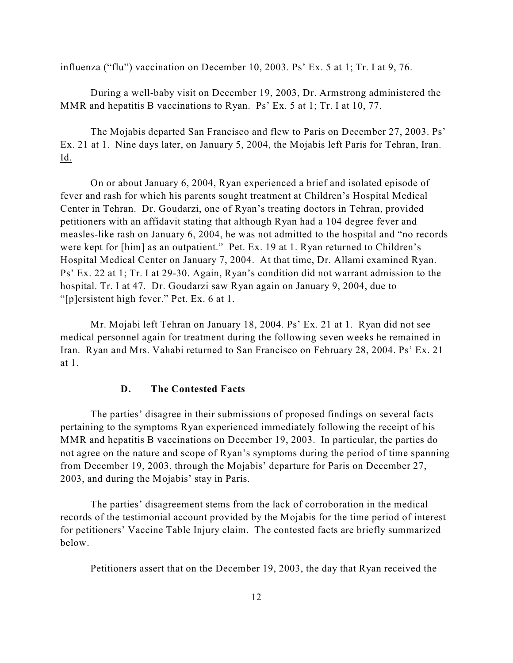influenza ("flu") vaccination on December 10, 2003. Ps' Ex. 5 at 1; Tr. I at 9, 76.

During a well-baby visit on December 19, 2003, Dr. Armstrong administered the MMR and hepatitis B vaccinations to Ryan. Ps' Ex. 5 at 1; Tr. I at 10, 77.

The Mojabis departed San Francisco and flew to Paris on December 27, 2003. Ps' Ex. 21 at 1. Nine days later, on January 5, 2004, the Mojabis left Paris for Tehran, Iran. Id.

On or about January 6, 2004, Ryan experienced a brief and isolated episode of fever and rash for which his parents sought treatment at Children's Hospital Medical Center in Tehran. Dr. Goudarzi, one of Ryan's treating doctors in Tehran, provided petitioners with an affidavit stating that although Ryan had a 104 degree fever and measles-like rash on January 6, 2004, he was not admitted to the hospital and "no records were kept for [him] as an outpatient." Pet. Ex. 19 at 1. Ryan returned to Children's Hospital Medical Center on January 7, 2004. At that time, Dr. Allami examined Ryan. Ps' Ex. 22 at 1; Tr. I at 29-30. Again, Ryan's condition did not warrant admission to the hospital. Tr. I at 47. Dr. Goudarzi saw Ryan again on January 9, 2004, due to "[p]ersistent high fever." Pet. Ex. 6 at 1.

Mr. Mojabi left Tehran on January 18, 2004. Ps' Ex. 21 at 1. Ryan did not see medical personnel again for treatment during the following seven weeks he remained in Iran. Ryan and Mrs. Vahabi returned to San Francisco on February 28, 2004. Ps' Ex. 21 at 1.

#### **D. The Contested Facts**

The parties' disagree in their submissions of proposed findings on several facts pertaining to the symptoms Ryan experienced immediately following the receipt of his MMR and hepatitis B vaccinations on December 19, 2003. In particular, the parties do not agree on the nature and scope of Ryan's symptoms during the period of time spanning from December 19, 2003, through the Mojabis' departure for Paris on December 27, 2003, and during the Mojabis' stay in Paris.

The parties' disagreement stems from the lack of corroboration in the medical records of the testimonial account provided by the Mojabis for the time period of interest for petitioners' Vaccine Table Injury claim. The contested facts are briefly summarized below.

Petitioners assert that on the December 19, 2003, the day that Ryan received the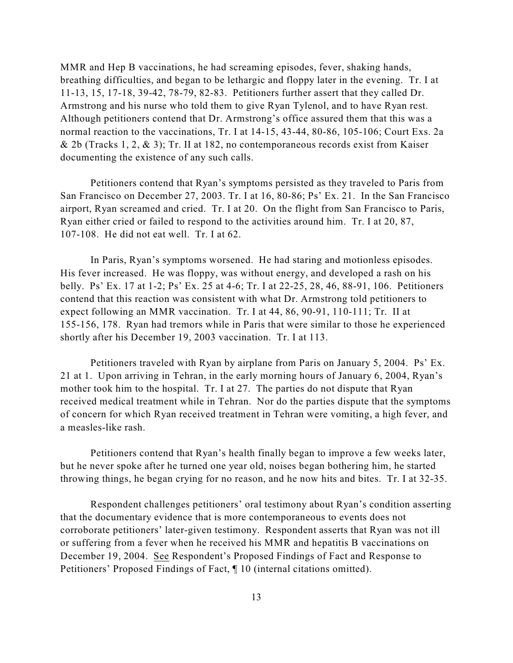MMR and Hep B vaccinations, he had screaming episodes, fever, shaking hands, breathing difficulties, and began to be lethargic and floppy later in the evening. Tr. I at 11-13, 15, 17-18, 39-42, 78-79, 82-83. Petitioners further assert that they called Dr. Armstrong and his nurse who told them to give Ryan Tylenol, and to have Ryan rest. Although petitioners contend that Dr. Armstrong's office assured them that this was a normal reaction to the vaccinations, Tr. I at 14-15, 43-44, 80-86, 105-106; Court Exs. 2a & 2b (Tracks 1, 2, & 3); Tr. II at 182, no contemporaneous records exist from Kaiser documenting the existence of any such calls.

Petitioners contend that Ryan's symptoms persisted as they traveled to Paris from San Francisco on December 27, 2003. Tr. I at 16, 80-86; Ps' Ex. 21. In the San Francisco airport, Ryan screamed and cried. Tr. I at 20. On the flight from San Francisco to Paris, Ryan either cried or failed to respond to the activities around him. Tr. I at 20, 87, 107-108. He did not eat well. Tr. I at 62.

In Paris, Ryan's symptoms worsened. He had staring and motionless episodes. His fever increased. He was floppy, was without energy, and developed a rash on his belly. Ps' Ex. 17 at 1-2; Ps' Ex. 25 at 4-6; Tr. I at 22-25, 28, 46, 88-91, 106. Petitioners contend that this reaction was consistent with what Dr. Armstrong told petitioners to expect following an MMR vaccination. Tr. I at 44, 86, 90-91, 110-111; Tr. II at 155-156, 178. Ryan had tremors while in Paris that were similar to those he experienced shortly after his December 19, 2003 vaccination. Tr. I at 113.

Petitioners traveled with Ryan by airplane from Paris on January 5, 2004. Ps' Ex. 21 at 1. Upon arriving in Tehran, in the early morning hours of January 6, 2004, Ryan's mother took him to the hospital. Tr. I at 27. The parties do not dispute that Ryan received medical treatment while in Tehran. Nor do the parties dispute that the symptoms of concern for which Ryan received treatment in Tehran were vomiting, a high fever, and a measles-like rash.

Petitioners contend that Ryan's health finally began to improve a few weeks later, but he never spoke after he turned one year old, noises began bothering him, he started throwing things, he began crying for no reason, and he now hits and bites. Tr. I at 32-35.

Respondent challenges petitioners' oral testimony about Ryan's condition asserting that the documentary evidence that is more contemporaneous to events does not corroborate petitioners' later-given testimony. Respondent asserts that Ryan was not ill or suffering from a fever when he received his MMR and hepatitis B vaccinations on December 19, 2004. See Respondent's Proposed Findings of Fact and Response to Petitioners' Proposed Findings of Fact, ¶ 10 (internal citations omitted).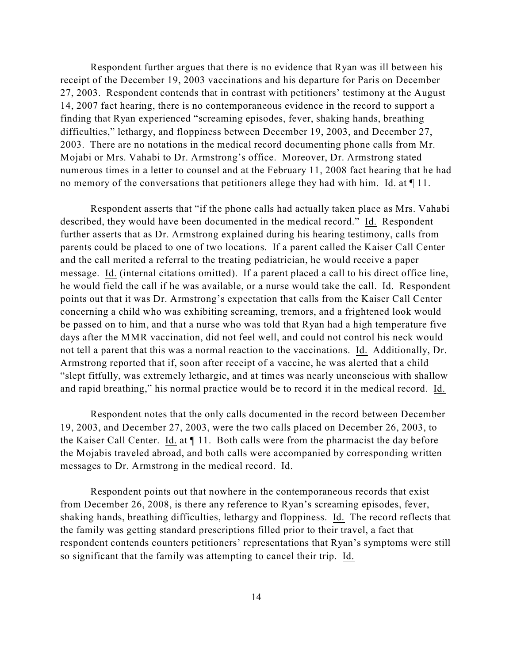Respondent further argues that there is no evidence that Ryan was ill between his receipt of the December 19, 2003 vaccinations and his departure for Paris on December 27, 2003. Respondent contends that in contrast with petitioners' testimony at the August 14, 2007 fact hearing, there is no contemporaneous evidence in the record to support a finding that Ryan experienced "screaming episodes, fever, shaking hands, breathing difficulties," lethargy, and floppiness between December 19, 2003, and December 27, 2003. There are no notations in the medical record documenting phone calls from Mr. Mojabi or Mrs. Vahabi to Dr. Armstrong's office. Moreover, Dr. Armstrong stated numerous times in a letter to counsel and at the February 11, 2008 fact hearing that he had no memory of the conversations that petitioners allege they had with him. Id. at  $\P$  11.

Respondent asserts that "if the phone calls had actually taken place as Mrs. Vahabi described, they would have been documented in the medical record." Id. Respondent further asserts that as Dr. Armstrong explained during his hearing testimony, calls from parents could be placed to one of two locations. If a parent called the Kaiser Call Center and the call merited a referral to the treating pediatrician, he would receive a paper message. Id. (internal citations omitted). If a parent placed a call to his direct office line, he would field the call if he was available, or a nurse would take the call. Id. Respondent points out that it was Dr. Armstrong's expectation that calls from the Kaiser Call Center concerning a child who was exhibiting screaming, tremors, and a frightened look would be passed on to him, and that a nurse who was told that Ryan had a high temperature five days after the MMR vaccination, did not feel well, and could not control his neck would not tell a parent that this was a normal reaction to the vaccinations. Id. Additionally, Dr. Armstrong reported that if, soon after receipt of a vaccine, he was alerted that a child "slept fitfully, was extremely lethargic, and at times was nearly unconscious with shallow and rapid breathing," his normal practice would be to record it in the medical record. Id.

Respondent notes that the only calls documented in the record between December 19, 2003, and December 27, 2003, were the two calls placed on December 26, 2003, to the Kaiser Call Center. Id. at ¶ 11. Both calls were from the pharmacist the day before the Mojabis traveled abroad, and both calls were accompanied by corresponding written messages to Dr. Armstrong in the medical record. Id.

Respondent points out that nowhere in the contemporaneous records that exist from December 26, 2008, is there any reference to Ryan's screaming episodes, fever, shaking hands, breathing difficulties, lethargy and floppiness. Id. The record reflects that the family was getting standard prescriptions filled prior to their travel, a fact that respondent contends counters petitioners' representations that Ryan's symptoms were still so significant that the family was attempting to cancel their trip. Id.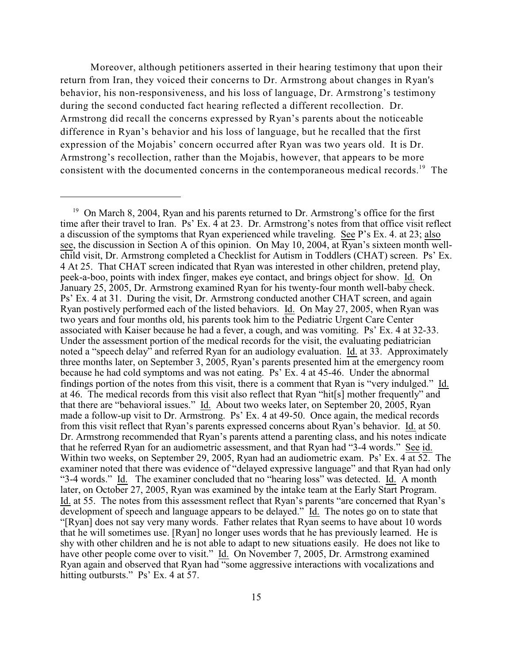Moreover, although petitioners asserted in their hearing testimony that upon their return from Iran, they voiced their concerns to Dr. Armstrong about changes in Ryan's behavior, his non-responsiveness, and his loss of language, Dr. Armstrong's testimony during the second conducted fact hearing reflected a different recollection. Dr. Armstrong did recall the concerns expressed by Ryan's parents about the noticeable difference in Ryan's behavior and his loss of language, but he recalled that the first expression of the Mojabis' concern occurred after Ryan was two years old. It is Dr. Armstrong's recollection, rather than the Mojabis, however, that appears to be more consistent with the documented concerns in the contemporaneous medical records.<sup>19</sup> The

<sup>&</sup>lt;sup>19</sup> On March 8, 2004, Ryan and his parents returned to Dr. Armstrong's office for the first time after their travel to Iran. Ps' Ex. 4 at 23. Dr. Armstrong's notes from that office visit reflect a discussion of the symptoms that Ryan experienced while traveling. See P's Ex. 4. at 23; also see, the discussion in Section A of this opinion. On May 10, 2004, at Ryan's sixteen month wellchild visit, Dr. Armstrong completed a Checklist for Autism in Toddlers (CHAT) screen. Ps' Ex. 4 At 25. That CHAT screen indicated that Ryan was interested in other children, pretend play, peek-a-boo, points with index finger, makes eye contact, and brings object for show. Id. On January 25, 2005, Dr. Armstrong examined Ryan for his twenty-four month well-baby check. Ps' Ex. 4 at 31. During the visit, Dr. Armstrong conducted another CHAT screen, and again Ryan postively performed each of the listed behaviors. Id. On May 27, 2005, when Ryan was two years and four months old, his parents took him to the Pediatric Urgent Care Center associated with Kaiser because he had a fever, a cough, and was vomiting. Ps' Ex. 4 at 32-33. Under the assessment portion of the medical records for the visit, the evaluating pediatrician noted a "speech delay" and referred Ryan for an audiology evaluation. Id. at 33. Approximately three months later, on September 3, 2005, Ryan's parents presented him at the emergency room because he had cold symptoms and was not eating. Ps' Ex. 4 at 45-46. Under the abnormal findings portion of the notes from this visit, there is a comment that Ryan is "very indulged." Id. at 46. The medical records from this visit also reflect that Ryan "hit[s] mother frequently" and that there are "behavioral issues." Id. About two weeks later, on September 20, 2005, Ryan made a follow-up visit to Dr. Armstrong. Ps' Ex. 4 at 49-50. Once again, the medical records from this visit reflect that Ryan's parents expressed concerns about Ryan's behavior. Id. at 50. Dr. Armstrong recommended that Ryan's parents attend a parenting class, and his notes indicate that he referred Ryan for an audiometric assessment, and that Ryan had "3-4 words." See id. Within two weeks, on September 29, 2005, Ryan had an audiometric exam. Ps' Ex. 4 at 52. The examiner noted that there was evidence of "delayed expressive language" and that Ryan had only "3-4 words." Id. The examiner concluded that no "hearing loss" was detected. Id. A month later, on October 27, 2005, Ryan was examined by the intake team at the Early Start Program. Id. at 55. The notes from this assessment reflect that Ryan's parents "are concerned that Ryan's development of speech and language appears to be delayed." Id. The notes go on to state that "[Ryan] does not say very many words. Father relates that Ryan seems to have about 10 words that he will sometimes use. [Ryan] no longer uses words that he has previously learned. He is shy with other children and he is not able to adapt to new situations easily. He does not like to have other people come over to visit." Id. On November 7, 2005, Dr. Armstrong examined Ryan again and observed that Ryan had "some aggressive interactions with vocalizations and hitting outbursts." Ps' Ex. 4 at 57.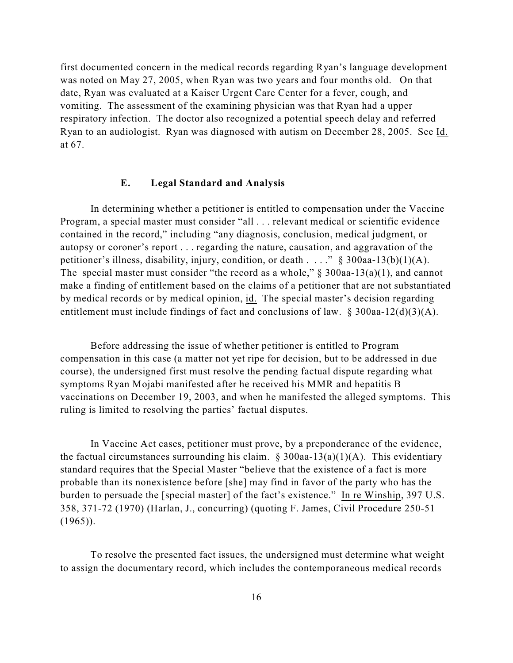first documented concern in the medical records regarding Ryan's language development was noted on May 27, 2005, when Ryan was two years and four months old. On that date, Ryan was evaluated at a Kaiser Urgent Care Center for a fever, cough, and vomiting. The assessment of the examining physician was that Ryan had a upper respiratory infection. The doctor also recognized a potential speech delay and referred Ryan to an audiologist. Ryan was diagnosed with autism on December 28, 2005. See Id. at 67.

#### **E. Legal Standard and Analysis**

In determining whether a petitioner is entitled to compensation under the Vaccine Program, a special master must consider "all . . . relevant medical or scientific evidence contained in the record," including "any diagnosis, conclusion, medical judgment, or autopsy or coroner's report . . . regarding the nature, causation, and aggravation of the petitioner's illness, disability, injury, condition, or death . . . ." § 300aa-13(b)(1)(A). The special master must consider "the record as a whole,"  $\S$  300aa-13(a)(1), and cannot make a finding of entitlement based on the claims of a petitioner that are not substantiated by medical records or by medical opinion, id. The special master's decision regarding entitlement must include findings of fact and conclusions of law.  $\S 300$ aa-12(d)(3)(A).

Before addressing the issue of whether petitioner is entitled to Program compensation in this case (a matter not yet ripe for decision, but to be addressed in due course), the undersigned first must resolve the pending factual dispute regarding what symptoms Ryan Mojabi manifested after he received his MMR and hepatitis B vaccinations on December 19, 2003, and when he manifested the alleged symptoms. This ruling is limited to resolving the parties' factual disputes.

In Vaccine Act cases, petitioner must prove, by a preponderance of the evidence, the factual circumstances surrounding his claim.  $\S$  300aa-13(a)(1)(A). This evidentiary standard requires that the Special Master "believe that the existence of a fact is more probable than its nonexistence before [she] may find in favor of the party who has the burden to persuade the [special master] of the fact's existence." In re Winship, 397 U.S. 358, 371-72 (1970) (Harlan, J., concurring) (quoting F. James, Civil Procedure 250-51  $(1965)$ ).

To resolve the presented fact issues, the undersigned must determine what weight to assign the documentary record, which includes the contemporaneous medical records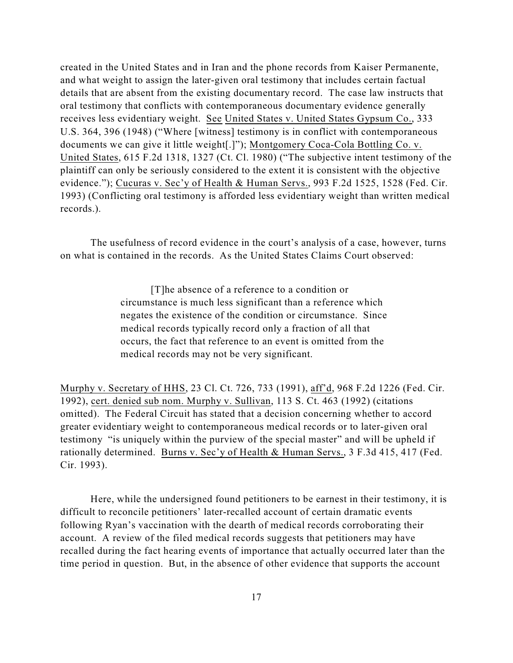created in the United States and in Iran and the phone records from Kaiser Permanente, and what weight to assign the later-given oral testimony that includes certain factual details that are absent from the existing documentary record. The case law instructs that oral testimony that conflicts with contemporaneous documentary evidence generally receives less evidentiary weight. See United States v. United States Gypsum Co., 333 U.S. 364, 396 (1948) ("Where [witness] testimony is in conflict with contemporaneous documents we can give it little weight[.]"); Montgomery Coca-Cola Bottling Co. v. United States, 615 F.2d 1318, 1327 (Ct. Cl. 1980) ("The subjective intent testimony of the plaintiff can only be seriously considered to the extent it is consistent with the objective evidence."); Cucuras v. Sec'y of Health & Human Servs., 993 F.2d 1525, 1528 (Fed. Cir. 1993) (Conflicting oral testimony is afforded less evidentiary weight than written medical records.).

The usefulness of record evidence in the court's analysis of a case, however, turns on what is contained in the records. As the United States Claims Court observed:

> [T]he absence of a reference to a condition or circumstance is much less significant than a reference which negates the existence of the condition or circumstance. Since medical records typically record only a fraction of all that occurs, the fact that reference to an event is omitted from the medical records may not be very significant.

Murphy v. Secretary of HHS, 23 Cl. Ct. 726, 733 (1991), aff'd, 968 F.2d 1226 (Fed. Cir. 1992), cert. denied sub nom. Murphy v. Sullivan, 113 S. Ct. 463 (1992) (citations omitted). The Federal Circuit has stated that a decision concerning whether to accord greater evidentiary weight to contemporaneous medical records or to later-given oral testimony "is uniquely within the purview of the special master" and will be upheld if rationally determined. Burns v. Sec'y of Health & Human Servs., 3 F.3d 415, 417 (Fed. Cir. 1993).

Here, while the undersigned found petitioners to be earnest in their testimony, it is difficult to reconcile petitioners' later-recalled account of certain dramatic events following Ryan's vaccination with the dearth of medical records corroborating their account. A review of the filed medical records suggests that petitioners may have recalled during the fact hearing events of importance that actually occurred later than the time period in question. But, in the absence of other evidence that supports the account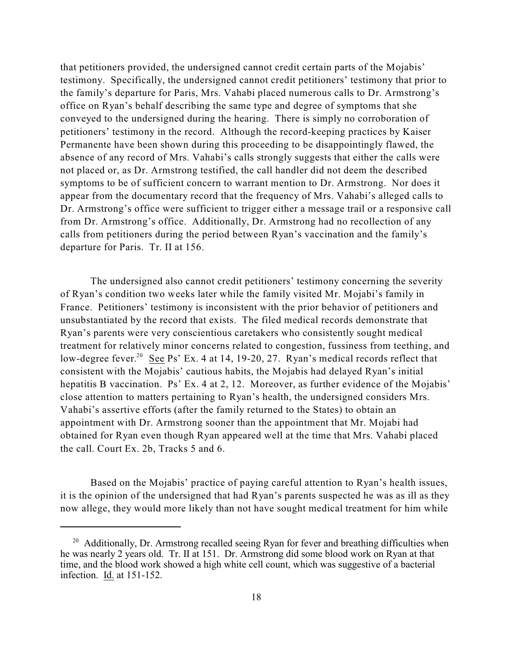that petitioners provided, the undersigned cannot credit certain parts of the Mojabis' testimony. Specifically, the undersigned cannot credit petitioners' testimony that prior to the family's departure for Paris, Mrs. Vahabi placed numerous calls to Dr. Armstrong's office on Ryan's behalf describing the same type and degree of symptoms that she conveyed to the undersigned during the hearing. There is simply no corroboration of petitioners' testimony in the record. Although the record-keeping practices by Kaiser Permanente have been shown during this proceeding to be disappointingly flawed, the absence of any record of Mrs. Vahabi's calls strongly suggests that either the calls were not placed or, as Dr. Armstrong testified, the call handler did not deem the described symptoms to be of sufficient concern to warrant mention to Dr. Armstrong. Nor does it appear from the documentary record that the frequency of Mrs. Vahabi's alleged calls to Dr. Armstrong's office were sufficient to trigger either a message trail or a responsive call from Dr. Armstrong's office. Additionally, Dr. Armstrong had no recollection of any calls from petitioners during the period between Ryan's vaccination and the family's departure for Paris. Tr. II at 156.

The undersigned also cannot credit petitioners' testimony concerning the severity of Ryan's condition two weeks later while the family visited Mr. Mojabi's family in France. Petitioners' testimony is inconsistent with the prior behavior of petitioners and unsubstantiated by the record that exists. The filed medical records demonstrate that Ryan's parents were very conscientious caretakers who consistently sought medical treatment for relatively minor concerns related to congestion, fussiness from teething, and low-degree fever.<sup>20</sup> See Ps' Ex. 4 at 14, 19-20, 27. Ryan's medical records reflect that consistent with the Mojabis' cautious habits, the Mojabis had delayed Ryan's initial hepatitis B vaccination. Ps' Ex. 4 at 2, 12. Moreover, as further evidence of the Mojabis' close attention to matters pertaining to Ryan's health, the undersigned considers Mrs. Vahabi's assertive efforts (after the family returned to the States) to obtain an appointment with Dr. Armstrong sooner than the appointment that Mr. Mojabi had obtained for Ryan even though Ryan appeared well at the time that Mrs. Vahabi placed the call. Court Ex. 2b, Tracks 5 and 6.

Based on the Mojabis' practice of paying careful attention to Ryan's health issues, it is the opinion of the undersigned that had Ryan's parents suspected he was as ill as they now allege, they would more likely than not have sought medical treatment for him while

 $20$  Additionally, Dr. Armstrong recalled seeing Ryan for fever and breathing difficulties when he was nearly 2 years old. Tr. II at 151. Dr. Armstrong did some blood work on Ryan at that time, and the blood work showed a high white cell count, which was suggestive of a bacterial infection. Id. at 151-152.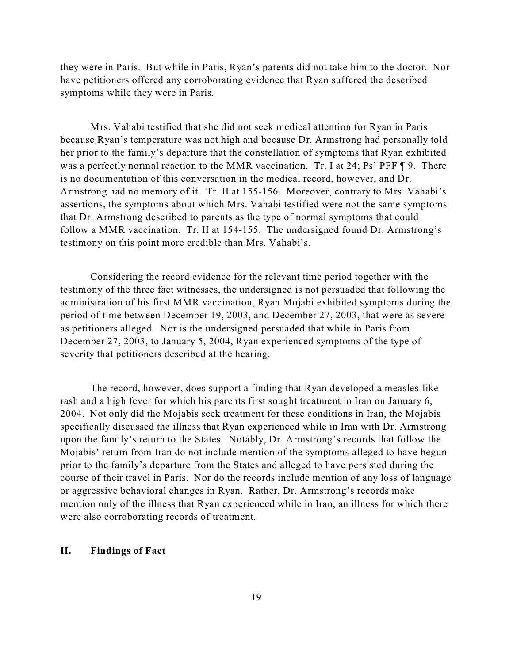they were in Paris. But while in Paris, Ryan's parents did not take him to the doctor. Nor have petitioners offered any corroborating evidence that Ryan suffered the described symptoms while they were in Paris.

Mrs. Vahabi testified that she did not seek medical attention for Ryan in Paris because Ryan's temperature was not high and because Dr. Armstrong had personally told her prior to the family's departure that the constellation of symptoms that Ryan exhibited was a perfectly normal reaction to the MMR vaccination. Tr. I at 24; Ps' PFF ¶ 9. There is no documentation of this conversation in the medical record, however, and Dr. Armstrong had no memory of it. Tr. II at 155-156. Moreover, contrary to Mrs. Vahabi's assertions, the symptoms about which Mrs. Vahabi testified were not the same symptoms that Dr. Armstrong described to parents as the type of normal symptoms that could follow a MMR vaccination. Tr. II at 154-155. The undersigned found Dr. Armstrong's testimony on this point more credible than Mrs. Vahabi's.

Considering the record evidence for the relevant time period together with the testimony of the three fact witnesses, the undersigned is not persuaded that following the administration of his first MMR vaccination, Ryan Mojabi exhibited symptoms during the period of time between December 19, 2003, and December 27, 2003, that were as severe as petitioners alleged. Nor is the undersigned persuaded that while in Paris from December 27, 2003, to January 5, 2004, Ryan experienced symptoms of the type of severity that petitioners described at the hearing.

The record, however, does support a finding that Ryan developed a measles-like rash and a high fever for which his parents first sought treatment in Iran on January 6, 2004. Not only did the Mojabis seek treatment for these conditions in Iran, the Mojabis specifically discussed the illness that Ryan experienced while in Iran with Dr. Armstrong upon the family's return to the States. Notably, Dr. Armstrong's records that follow the Mojabis' return from Iran do not include mention of the symptoms alleged to have begun prior to the family's departure from the States and alleged to have persisted during the course of their travel in Paris. Nor do the records include mention of any loss of language or aggressive behavioral changes in Ryan. Rather, Dr. Armstrong's records make mention only of the illness that Ryan experienced while in Iran, an illness for which there were also corroborating records of treatment.

#### **II. Findings of Fact**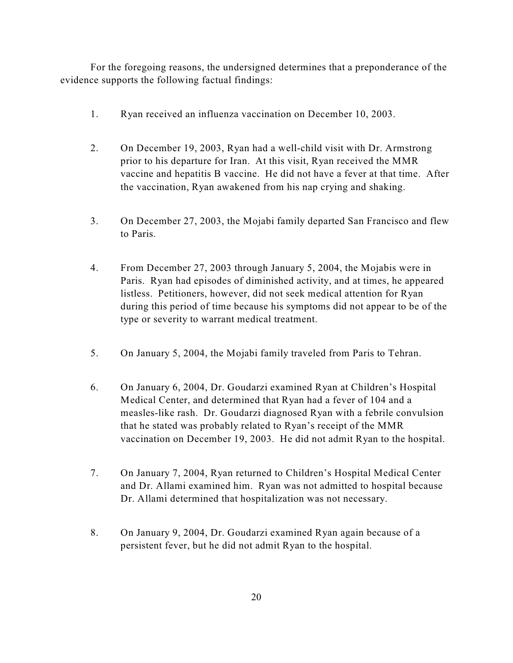For the foregoing reasons, the undersigned determines that a preponderance of the evidence supports the following factual findings:

- 1. Ryan received an influenza vaccination on December 10, 2003.
- 2. On December 19, 2003, Ryan had a well-child visit with Dr. Armstrong prior to his departure for Iran. At this visit, Ryan received the MMR vaccine and hepatitis B vaccine. He did not have a fever at that time. After the vaccination, Ryan awakened from his nap crying and shaking.
- 3. On December 27, 2003, the Mojabi family departed San Francisco and flew to Paris.
- 4. From December 27, 2003 through January 5, 2004, the Mojabis were in Paris. Ryan had episodes of diminished activity, and at times, he appeared listless. Petitioners, however, did not seek medical attention for Ryan during this period of time because his symptoms did not appear to be of the type or severity to warrant medical treatment.
- 5. On January 5, 2004, the Mojabi family traveled from Paris to Tehran.
- 6. On January 6, 2004, Dr. Goudarzi examined Ryan at Children's Hospital Medical Center, and determined that Ryan had a fever of 104 and a measles-like rash. Dr. Goudarzi diagnosed Ryan with a febrile convulsion that he stated was probably related to Ryan's receipt of the MMR vaccination on December 19, 2003. He did not admit Ryan to the hospital.
- 7. On January 7, 2004, Ryan returned to Children's Hospital Medical Center and Dr. Allami examined him. Ryan was not admitted to hospital because Dr. Allami determined that hospitalization was not necessary.
- 8. On January 9, 2004, Dr. Goudarzi examined Ryan again because of a persistent fever, but he did not admit Ryan to the hospital.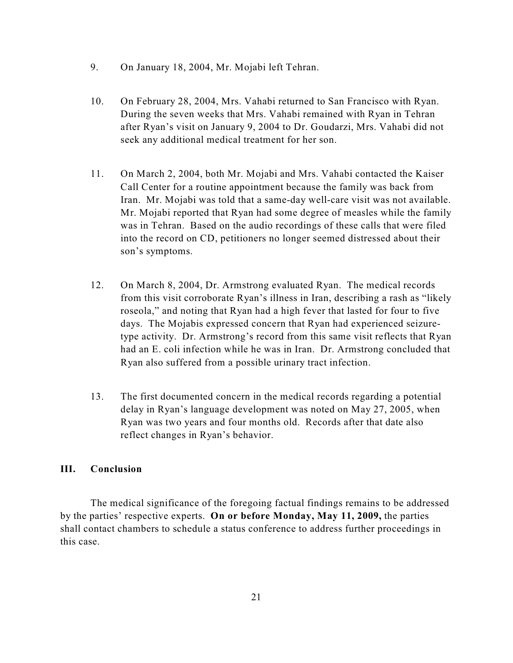- 9. On January 18, 2004, Mr. Mojabi left Tehran.
- 10. On February 28, 2004, Mrs. Vahabi returned to San Francisco with Ryan. During the seven weeks that Mrs. Vahabi remained with Ryan in Tehran after Ryan's visit on January 9, 2004 to Dr. Goudarzi, Mrs. Vahabi did not seek any additional medical treatment for her son.
- 11. On March 2, 2004, both Mr. Mojabi and Mrs. Vahabi contacted the Kaiser Call Center for a routine appointment because the family was back from Iran. Mr. Mojabi was told that a same-day well-care visit was not available. Mr. Mojabi reported that Ryan had some degree of measles while the family was in Tehran. Based on the audio recordings of these calls that were filed into the record on CD, petitioners no longer seemed distressed about their son's symptoms.
- 12. On March 8, 2004, Dr. Armstrong evaluated Ryan. The medical records from this visit corroborate Ryan's illness in Iran, describing a rash as "likely roseola," and noting that Ryan had a high fever that lasted for four to five days. The Mojabis expressed concern that Ryan had experienced seizuretype activity. Dr. Armstrong's record from this same visit reflects that Ryan had an E. coli infection while he was in Iran. Dr. Armstrong concluded that Ryan also suffered from a possible urinary tract infection.
- 13. The first documented concern in the medical records regarding a potential delay in Ryan's language development was noted on May 27, 2005, when Ryan was two years and four months old. Records after that date also reflect changes in Ryan's behavior.

## **III. Conclusion**

The medical significance of the foregoing factual findings remains to be addressed by the parties' respective experts. **On or before Monday, May 11, 2009,** the parties shall contact chambers to schedule a status conference to address further proceedings in this case.